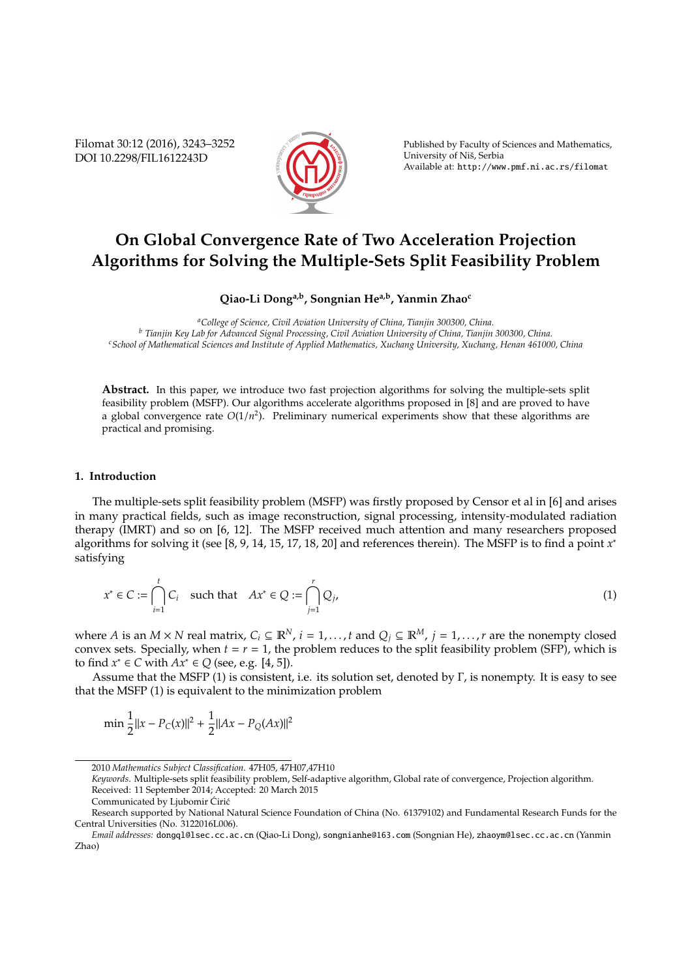Filomat 30:12 (2016), 3243–3252 DOI 10.2298/FIL1612243D



Published by Faculty of Sciences and Mathematics, University of Nis, Serbia ˇ Available at: http://www.pmf.ni.ac.rs/filomat

# **On Global Convergence Rate of Two Acceleration Projection Algorithms for Solving the Multiple-Sets Split Feasibility Problem**

## **Qiao-Li Donga,b, Songnian Hea,b, Yanmin Zhao<sup>c</sup>**

*<sup>a</sup>College of Science, Civil Aviation University of China, Tianjin 300300, China. <sup>b</sup> Tianjin Key Lab for Advanced Signal Processing, Civil Aviation University of China, Tianjin 300300, China. <sup>c</sup>School of Mathematical Sciences and Institute of Applied Mathematics, Xuchang University, Xuchang, Henan 461000, China*

**Abstract.** In this paper, we introduce two fast projection algorithms for solving the multiple-sets split feasibility problem (MSFP). Our algorithms accelerate algorithms proposed in [8] and are proved to have a global convergence rate  $O(1/n^2)$ . Preliminary numerical experiments show that these algorithms are practical and promising.

### **1. Introduction**

The multiple-sets split feasibility problem (MSFP) was firstly proposed by Censor et al in [6] and arises in many practical fields, such as image reconstruction, signal processing, intensity-modulated radiation therapy (IMRT) and so on [6, 12]. The MSFP received much attention and many researchers proposed algorithms for solving it (see [8, 9, 14, 15, 17, 18, 20] and references therein). The MSFP is to find a point *x* ∗ satisfying

$$
x^* \in C := \bigcap_{i=1}^t C_i \quad \text{such that} \quad Ax^* \in Q := \bigcap_{j=1}^r Q_j,\tag{1}
$$

where *A* is an *M* × *N* real matrix,  $C_i \subseteq \mathbb{R}^N$ ,  $i = 1, ..., t$  and  $Q_j \subseteq \mathbb{R}^M$ ,  $j = 1, ..., r$  are the nonempty closed convex sets. Specially, when  $t = r = 1$ , the problem reduces to the split feasibility problem (SFP), which is to find  $x^*$  ∈ *C* with  $Ax^*$  ∈ *Q* (see, e.g. [4, 5]).

Assume that the MSFP (1) is consistent, i.e. its solution set, denoted by Γ, is nonempty. It is easy to see that the MSFP (1) is equivalent to the minimization problem

$$
\min \frac{1}{2} ||x - P_C(x)||^2 + \frac{1}{2} ||Ax - P_Q(Ax)||^2
$$

<sup>2010</sup> *Mathematics Subject Classification*. 47H05, 47H07,47H10

*Keywords*. Multiple-sets split feasibility problem, Self-adaptive algorithm, Global rate of convergence, Projection algorithm. Received: 11 September 2014; Accepted: 20 March 2015

Communicated by Ljubomir Ćirić

Research supported by National Natural Science Foundation of China (No. 61379102) and Fundamental Research Funds for the Central Universities (No. 3122016L006).

*Email addresses:* dongql@lsec.cc.ac.cn (Qiao-Li Dong), songnianhe@163.com (Songnian He), zhaoym@lsec.cc.ac.cn (Yanmin Zhao)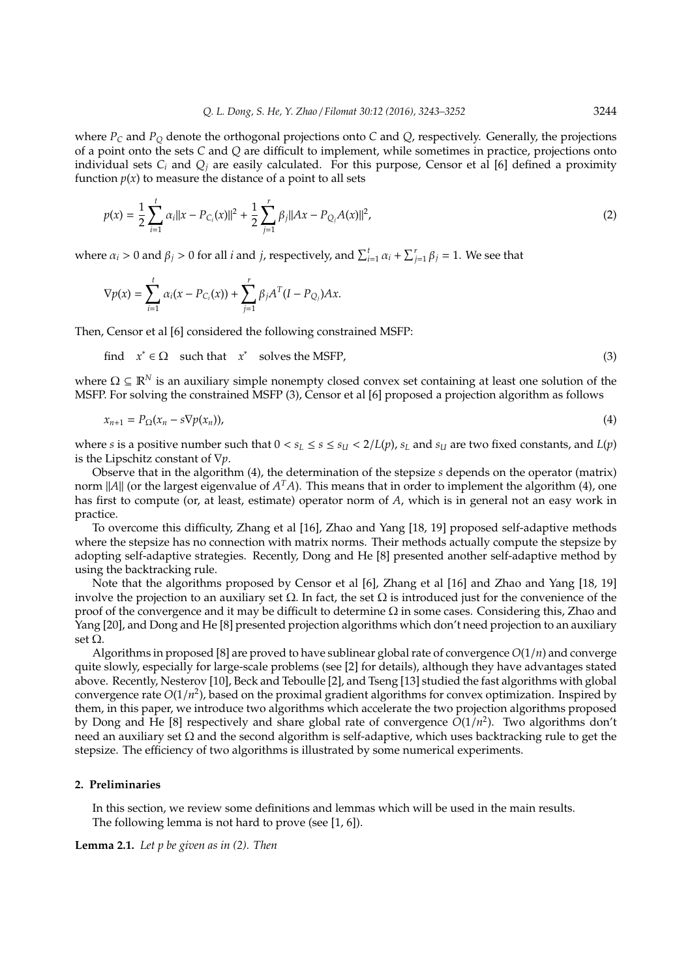where  $P_C$  and  $P_O$  denote the orthogonal projections onto *C* and *Q*, respectively. Generally, the projections of a point onto the sets *C* and *Q* are difficult to implement, while sometimes in practice, projections onto individual sets  $C_i$  and  $Q_i$  are easily calculated. For this purpose, Censor et al [6] defined a proximity function  $p(x)$  to measure the distance of a point to all sets

$$
p(x) = \frac{1}{2} \sum_{i=1}^{t} \alpha_i ||x - P_{C_i}(x)||^2 + \frac{1}{2} \sum_{j=1}^{r} \beta_j ||Ax - P_{Q_j}A(x)||^2,
$$
 (2)

where  $\alpha_i > 0$  and  $\beta_j > 0$  for all *i* and *j*, respectively, and  $\sum_{i=1}^t \alpha_i + \sum_{j=1}^r \beta_j = 1$ . We see that

$$
\nabla p(x) = \sum_{i=1}^{t} \alpha_i (x - P_{C_i}(x)) + \sum_{j=1}^{r} \beta_j A^{T} (I - P_{Q_j}) A x.
$$

Then, Censor et al [6] considered the following constrained MSFP:

find 
$$
x^* \in \Omega
$$
 such that  $x^*$  solves the MSFP, (3)

where  $\Omega \subseteq \mathbb{R}^N$  is an auxiliary simple nonempty closed convex set containing at least one solution of the MSFP. For solving the constrained MSFP (3), Censor et al [6] proposed a projection algorithm as follows

$$
x_{n+1} = P_{\Omega}(x_n - s\nabla p(x_n)),
$$
\n(4)

where *s* is a positive number such that  $0 < s_L \le s \le s_U < 2/L(p)$ ,  $s_L$  and  $s_U$  are two fixed constants, and  $L(p)$ is the Lipschitz constant of ∇*p*.

Observe that in the algorithm (4), the determination of the stepsize *s* depends on the operator (matrix) norm  $||A||$  (or the largest eigenvalue of  $A<sup>T</sup>A$ ). This means that in order to implement the algorithm (4), one has first to compute (or, at least, estimate) operator norm of *A*, which is in general not an easy work in practice.

To overcome this difficulty, Zhang et al [16], Zhao and Yang [18, 19] proposed self-adaptive methods where the stepsize has no connection with matrix norms. Their methods actually compute the stepsize by adopting self-adaptive strategies. Recently, Dong and He [8] presented another self-adaptive method by using the backtracking rule.

Note that the algorithms proposed by Censor et al [6], Zhang et al [16] and Zhao and Yang [18, 19] involve the projection to an auxiliary set  $\Omega$ . In fact, the set  $\Omega$  is introduced just for the convenience of the proof of the convergence and it may be difficult to determine  $\Omega$  in some cases. Considering this, Zhao and Yang [20], and Dong and He [8] presented projection algorithms which don't need projection to an auxiliary set  $\Omega$ .

Algorithms in proposed [8] are proved to have sublinear global rate of convergence *O*(1/*n*) and converge quite slowly, especially for large-scale problems (see [2] for details), although they have advantages stated above. Recently, Nesterov [10], Beck and Teboulle [2], and Tseng [13] studied the fast algorithms with global convergence rate *O*(1/*n* 2 ), based on the proximal gradient algorithms for convex optimization. Inspired by them, in this paper, we introduce two algorithms which accelerate the two projection algorithms proposed by Dong and He [8] respectively and share global rate of convergence *O*(1/*n* 2 ). Two algorithms don't need an auxiliary set  $\Omega$  and the second algorithm is self-adaptive, which uses backtracking rule to get the stepsize. The efficiency of two algorithms is illustrated by some numerical experiments.

#### **2. Preliminaries**

In this section, we review some definitions and lemmas which will be used in the main results. The following lemma is not hard to prove (see [1, 6]).

**Lemma 2.1.** *Let p be given as in (2). Then*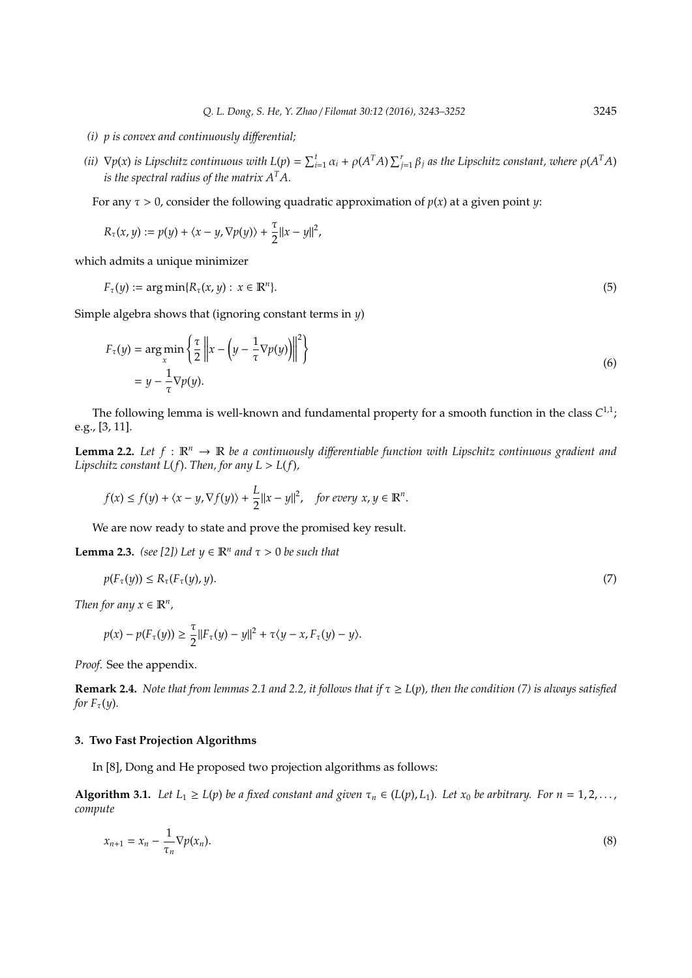- *(i) p is convex and continuously di*ff*erential;*
- (ii)  $\nabla p(x)$  is Lipschitz continuous with  $L(p) = \sum_{i=1}^t \alpha_i + \rho(A^TA) \sum_{j=1}^r \beta_j$  as the Lipschitz constant, where  $\rho(A^TA)$ *is the spectral radius of the matrix A<sup>T</sup>A.*

For any  $\tau > 0$ , consider the following quadratic approximation of  $p(x)$  at a given point  $\psi$ :

$$
R_\tau(x,y):=p(y)+\langle x-y, \nabla p(y)\rangle+\frac{\tau}{2}\|x-y\|^2,
$$

which admits a unique minimizer

$$
F_{\tau}(y) := \arg \min \{ R_{\tau}(x, y) : x \in \mathbb{R}^n \}. \tag{5}
$$

Simple algebra shows that (ignoring constant terms in *y*)

$$
F_{\tau}(y) = \underset{x}{\arg\min} \left\{ \frac{\tau}{2} \left\| x - \left( y - \frac{1}{\tau} \nabla p(y) \right) \right\|^2 \right\}
$$
  
=  $y - \frac{1}{\tau} \nabla p(y).$  (6)

The following lemma is well-known and fundamental property for a smooth function in the class  $C^{1,1}$ ; e.g., [3, 11].

**Lemma 2.2.** Let  $f : \mathbb{R}^n \to \mathbb{R}$  be a continuously differentiable function with Lipschitz continuous gradient and *Lipschitz constant L(f). Then, for any*  $L > L(f)$ *,* 

$$
f(x) \le f(y) + \langle x - y, \nabla f(y) \rangle + \frac{L}{2} ||x - y||^2, \quad \text{for every } x, y \in \mathbb{R}^n.
$$

We are now ready to state and prove the promised key result.

**Lemma 2.3.** *(see [2])* Let  $y \in \mathbb{R}^n$  and  $\tau > 0$  be such that

$$
p(F_{\tau}(y)) \le R_{\tau}(F_{\tau}(y), y). \tag{7}
$$

*Then for any*  $x \in \mathbb{R}^n$ ,

$$
p(x) - p(F_{\tau}(y)) \ge \frac{\tau}{2} ||F_{\tau}(y) - y||^2 + \tau \langle y - x, F_{\tau}(y) - y \rangle.
$$

*Proof.* See the appendix.

**Remark 2.4.** *Note that from lemmas 2.1 and 2.2, it follows that if*  $\tau \ge L(p)$ *, then the condition (7) is always satisfied for*  $F_\tau(y)$ *.* 

#### **3. Two Fast Projection Algorithms**

In [8], Dong and He proposed two projection algorithms as follows:

**Algorithm 3.1.** Let  $L_1 \ge L(p)$  be a fixed constant and given  $\tau_n \in (L(p), L_1)$ . Let  $x_0$  be arbitrary. For  $n = 1, 2, \ldots$ , *compute*

$$
x_{n+1} = x_n - \frac{1}{\tau_n} \nabla p(x_n). \tag{8}
$$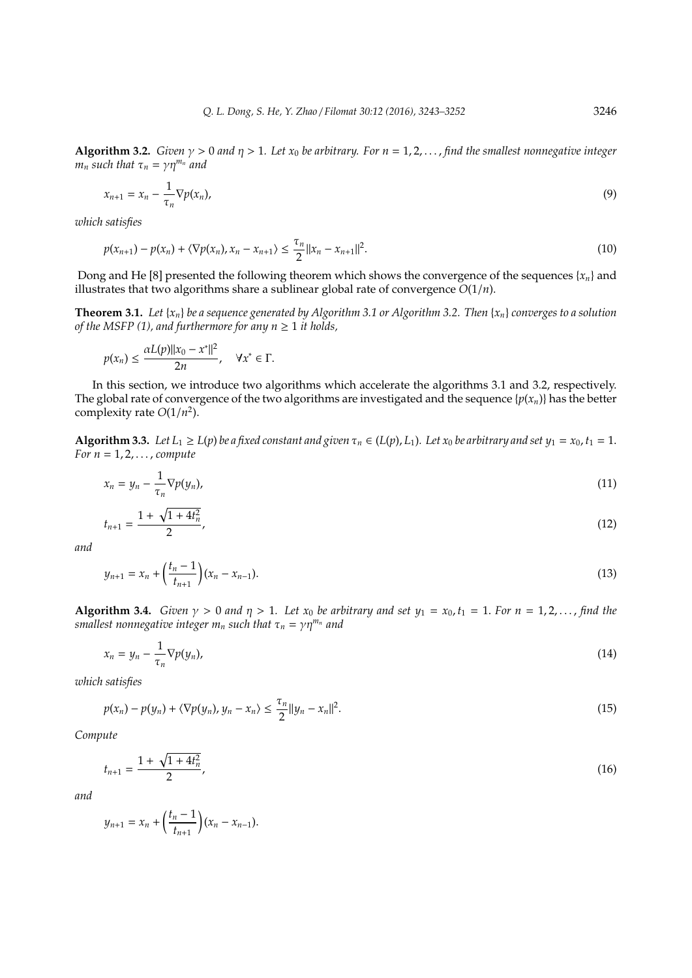**Algorithm 3.2.** *Given*  $\gamma > 0$  *and*  $\eta > 1$ *. Let*  $x_0$  *be arbitrary. For*  $n = 1, 2, \ldots$ , *find the smallest nonnegative integer m<sub>n</sub> such that*  $\tau_n = \gamma \eta^{m_n}$  *and* 

$$
x_{n+1} = x_n - \frac{1}{\tau_n} \nabla p(x_n), \tag{9}
$$

*which satisfies*

$$
p(x_{n+1}) - p(x_n) + \langle \nabla p(x_n), x_n - x_{n+1} \rangle \le \frac{\tau_n}{2} ||x_n - x_{n+1}||^2.
$$
 (10)

Dong and He [8] presented the following theorem which shows the convergence of the sequences  $\{x_n\}$  and illustrates that two algorithms share a sublinear global rate of convergence *O*(1/*n*).

**Theorem 3.1.** Let  $\{x_n\}$  be a sequence generated by Algorithm 3.1 or Algorithm 3.2. Then  $\{x_n\}$  converges to a solution *of the MSFP (1), and furthermore for any*  $n \geq 1$  *it holds,* 

$$
p(x_n) \le \frac{\alpha L(p) \|x_0 - x^*\|^2}{2n}, \quad \forall x^* \in \Gamma.
$$

In this section, we introduce two algorithms which accelerate the algorithms 3.1 and 3.2, respectively. The global rate of convergence of the two algorithms are investigated and the sequence  $\{p(x_n)\}$  has the better complexity rate *O*(1/*n* 2 ).

**Algorithm 3.3.** Let  $L_1 \ge L(p)$  be a fixed constant and given  $\tau_n \in (L(p), L_1)$ . Let  $x_0$  be arbitrary and set  $y_1 = x_0, t_1 = 1$ . *For n* = 1, 2, . . . , *compute*

$$
x_n = y_n - \frac{1}{\tau_n} \nabla p(y_n), \tag{11}
$$

$$
t_{n+1} = \frac{1 + \sqrt{1 + 4t_n^2}}{2},\tag{12}
$$

*and*

$$
y_{n+1} = x_n + \left(\frac{t_n - 1}{t_{n+1}}\right)(x_n - x_{n-1}).
$$
\n(13)

**Algorithm 3.4.** *Given*  $\gamma > 0$  *and*  $\eta > 1$ *. Let*  $x_0$  *be arbitrary and set*  $y_1 = x_0$ ,  $t_1 = 1$ *. For*  $n = 1, 2, \ldots$ , *find the smallest nonnegative integer*  $m_n$  *such that*  $\tau_n = \gamma \eta^{m_n}$  *and* 

$$
x_n = y_n - \frac{1}{\tau_n} \nabla p(y_n), \tag{14}
$$

*which satisfies*

$$
p(x_n) - p(y_n) + \langle \nabla p(y_n), y_n - x_n \rangle \leq \frac{\tau_n}{2} ||y_n - x_n||^2.
$$
\n
$$
(15)
$$

*Compute*

$$
t_{n+1} = \frac{1 + \sqrt{1 + 4t_n^2}}{2},\tag{16}
$$

*and*

$$
y_{n+1} = x_n + \left(\frac{t_n - 1}{t_{n+1}}\right)(x_n - x_{n-1}).
$$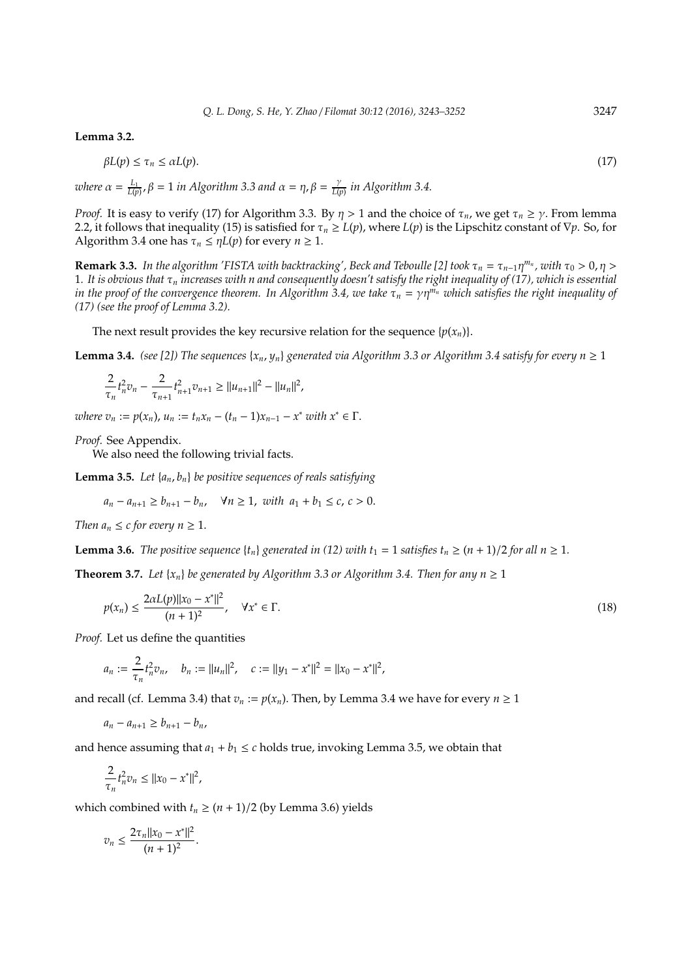**Lemma 3.2.**

$$
\beta L(p) \le \tau_n \le \alpha L(p). \tag{17}
$$

*where*  $\alpha = \frac{L_1}{L(p)}$ ,  $\beta = 1$  *in Algorithm* 3.3 and  $\alpha = \eta$ ,  $\beta = \frac{\gamma}{L(p)}$ *L*(*p*) *in Algorithm 3.4.*

*Proof.* It is easy to verify (17) for Algorithm 3.3. By  $\eta > 1$  and the choice of  $\tau_n$ , we get  $\tau_n \ge \gamma$ . From lemma 2.2, it follows that inequality (15) is satisfied for  $\tau_n \ge L(p)$ , where  $L(p)$  is the Lipschitz constant of  $\nabla p$ . So, for Algorithm 3.4 one has  $\tau_n \leq \eta L(p)$  for every  $n \geq 1$ .

**Remark 3.3.** In the algorithm 'FISTA with backtracking', Beck and Teboulle [2] took  $\tau_n = \tau_{n-1}\eta^{m_n}$ , with  $\tau_0 > 0$ ,  $\eta >$ 1*. It is obvious that* τ*<sup>n</sup> increases with n and consequently doesn't satisfy the right inequality of (17), which is essential in the proof of the convergence theorem. In Algorithm 3.4, we take*  $\tau_n = \gamma \eta^{m_n}$  *which satisfies the right inequality of (17) (see the proof of Lemma 3.2).*

The next result provides the key recursive relation for the sequence  $\{p(x_n)\}$ .

**Lemma 3.4.** *(see [2]) The sequences*  $\{x_n, y_n\}$  *generated via Algorithm 3.3 or Algorithm 3.4 satisfy for every n*  $\geq 1$ 

$$
\frac{2}{\tau_n}t_n^2v_n - \frac{2}{\tau_{n+1}}t_{n+1}^2v_{n+1} \ge ||u_{n+1}||^2 - ||u_n||^2,
$$

*where*  $v_n := p(x_n)$ ,  $u_n := t_n x_n - (t_n - 1)x_{n-1} - x^*$  *with*  $x^* \in \Gamma$ .

*Proof.* See Appendix.

We also need the following trivial facts.

**Lemma 3.5.** *Let* {*an*, *bn*} *be positive sequences of reals satisfying*

$$
a_n - a_{n+1} \ge b_{n+1} - b_n
$$
,  $\forall n \ge 1$ , with  $a_1 + b_1 \le c$ ,  $c > 0$ .

*Then*  $a_n \leq c$  *for every*  $n \geq 1$ *.* 

**Lemma 3.6.** *The positive sequence*  $\{t_n\}$  *generated in* (12) with  $t_1 = 1$  *satisfies*  $t_n \geq (n + 1)/2$  *for all n*  $\geq 1$ *.* 

**Theorem 3.7.** *Let*  $\{x_n\}$  *be generated by Algorithm 3.3 or Algorithm 3.4. Then for any*  $n \ge 1$ 

$$
p(x_n) \le \frac{2\alpha L(p) \|x_0 - x^*\|^2}{(n+1)^2}, \quad \forall x^* \in \Gamma.
$$
 (18)

*Proof.* Let us define the quantities

$$
a_n := \frac{2}{\tau_n} t_n^2 v_n, \quad b_n := \|u_n\|^2, \quad c := \|y_1 - x^*\|^2 = \|x_0 - x^*\|^2,
$$

and recall (cf. Lemma 3.4) that  $v_n := p(x_n)$ . Then, by Lemma 3.4 we have for every  $n \ge 1$ 

$$
a_n - a_{n+1} \ge b_{n+1} - b_n,
$$

and hence assuming that  $a_1 + b_1 \leq c$  holds true, invoking Lemma 3.5, we obtain that

$$
\frac{2}{\tau_n} t_n^2 v_n \le ||x_0 - x^*||^2,
$$

which combined with  $t_n \geq (n + 1)/2$  (by Lemma 3.6) yields

$$
v_n \leq \frac{2\tau_n||x_0 - x^*||^2}{(n+1)^2}.
$$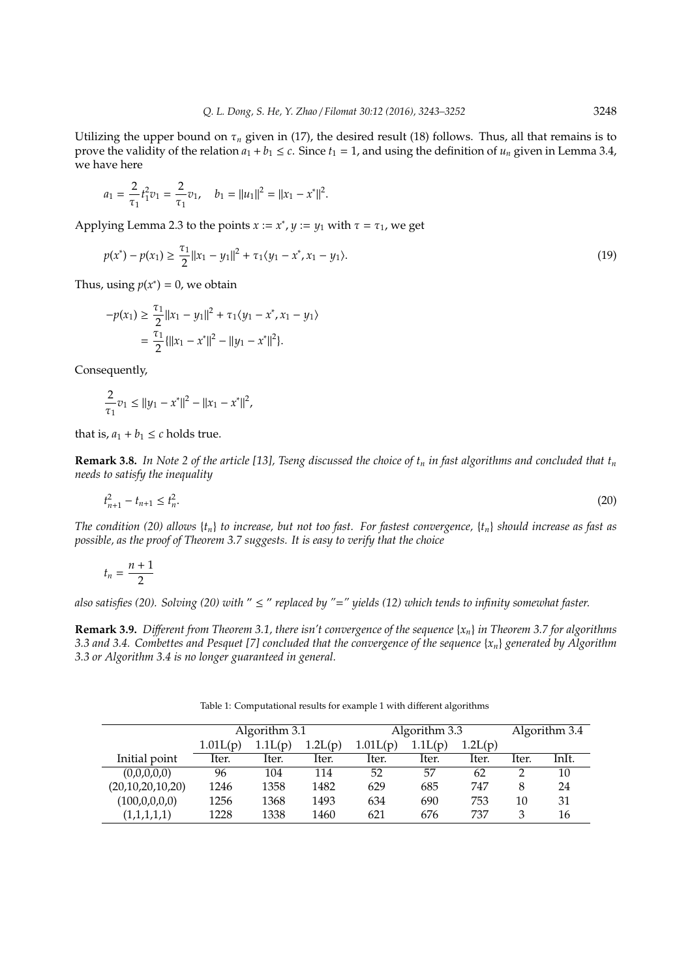Utilizing the upper bound on  $\tau_n$  given in (17), the desired result (18) follows. Thus, all that remains is to prove the validity of the relation  $a_1 + b_1 \le c$ . Since  $t_1 = 1$ , and using the definition of  $u_n$  given in Lemma 3.4, we have here

$$
a_1 = \frac{2}{\tau_1} t_1^2 v_1 = \frac{2}{\tau_1} v_1, \quad b_1 = ||u_1||^2 = ||x_1 - x^*||^2.
$$

Applying Lemma 2.3 to the points  $x := x^*$ ,  $y := y_1$  with  $\tau = \tau_1$ , we get

$$
p(x^*) - p(x_1) \ge \frac{\tau_1}{2} ||x_1 - y_1||^2 + \tau_1 \langle y_1 - x^*, x_1 - y_1 \rangle.
$$
 (19)

Thus, using  $p(x^*) = 0$ , we obtain

$$
-p(x_1) \ge \frac{\tau_1}{2} ||x_1 - y_1||^2 + \tau_1 \langle y_1 - x^*, x_1 - y_1 \rangle
$$
  
= 
$$
\frac{\tau_1}{2} \{ ||x_1 - x^*||^2 - ||y_1 - x^*||^2 \}.
$$

Consequently,

$$
\frac{2}{\tau_1}v_1 \le ||y_1 - x^*||^2 - ||x_1 - x^*||^2,
$$

that is,  $a_1 + b_1 \leq c$  holds true.

**Remark 3.8.** *In Note 2 of the article [13], Tseng discussed the choice of t<sup>n</sup> in fast algorithms and concluded that t<sup>n</sup> needs to satisfy the inequality*

$$
t_{n+1}^2 - t_{n+1} \le t_n^2. \tag{20}
$$

*The condition (20) allows* {*tn*} *to increase, but not too fast. For fastest convergence,* {*tn*} *should increase as fast as possible, as the proof of Theorem 3.7 suggests. It is easy to verify that the choice*

$$
t_n=\frac{n+1}{2}
$$

*also satisfies (20). Solving (20) with* " ≤ " *replaced by "*=*" yields (12) which tends to infinity somewhat faster.*

**Remark 3.9.** *Different from Theorem 3.1, there isn't convergence of the sequence*  $\{x_n\}$  *in Theorem 3.7 for algorithms 3.3 and 3.4. Combettes and Pesquet [7] concluded that the convergence of the sequence* {*xn*} *generated by Algorithm 3.3 or Algorithm 3.4 is no longer guaranteed in general.*

Table 1: Computational results for example 1 with different algorithms

|                  | Algorithm 3.1 |         |         | Algorithm 3.3 |         |         | Algorithm 3.4 |       |
|------------------|---------------|---------|---------|---------------|---------|---------|---------------|-------|
|                  | 1.01L(p)      | 1.1L(p) | 1.2L(p) | 1.01L(p)      | 1.1L(p) | 1.2L(p) |               |       |
| Initial point    | Iter.         | Iter.   | Iter.   | Iter.         | Iter.   | Iter.   | Iter.         | InIt. |
| (0,0,0,0,0)      | 96            | 104     | 114     | 52            | 57      | 62      |               | 10    |
| (20,10,20,10,20) | 1246          | 1358    | 1482    | 629           | 685     | 747     | 8             | 24    |
| (100,0,0,0,0)    | 1256          | 1368    | 1493    | 634           | 690     | 753     | 10            | 31    |
| (1,1,1,1,1)      | 1228          | 1338    | 1460    | 621           | 676     | 737     | З             | 16    |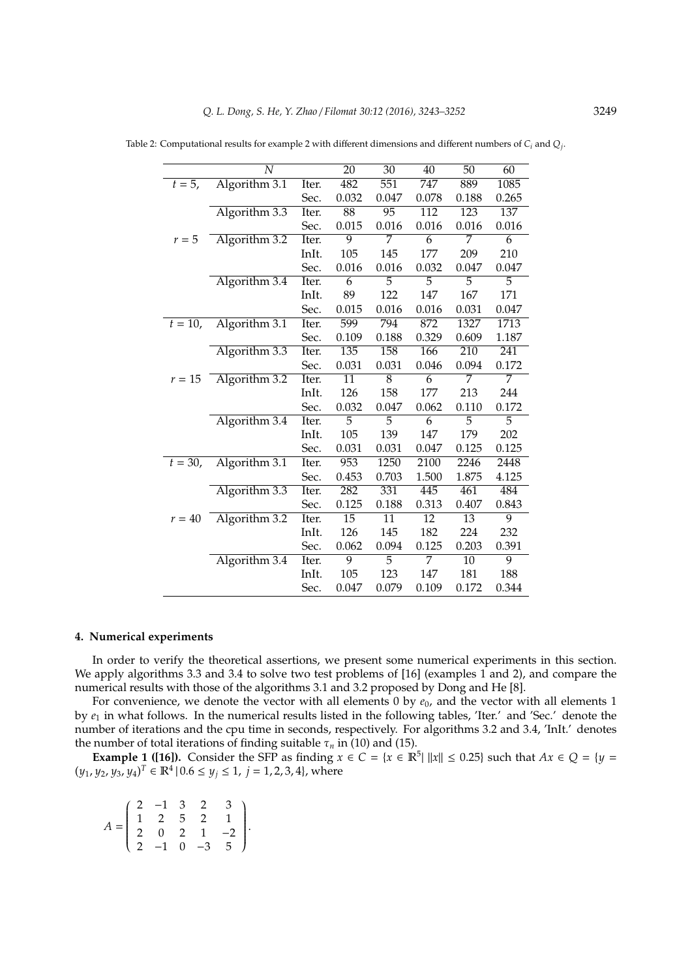|           | N             |       | 20              | 30              | 40               | 50               | 60    |
|-----------|---------------|-------|-----------------|-----------------|------------------|------------------|-------|
| $t = 5$ , | Algorithm 3.1 | Iter. | 482             | 551             | 747              | 889              | 1085  |
|           |               | Sec.  | 0.032           | 0.047           | 0.078            | 0.188            | 0.265 |
|           | Algorithm 3.3 | Iter. | 88              | $\overline{95}$ | $\overline{112}$ | $\overline{123}$ | 137   |
|           |               | Sec.  | 0.015           | 0.016           | 0.016            | 0.016            | 0.016 |
| $r=5$     | Algorithm 3.2 | Iter. | 9               | 7               | 6                | 7                | 6     |
|           |               | InIt. | 105             | 145             | 177              | 209              | 210   |
|           |               | Sec.  | 0.016           | 0.016           | 0.032            | 0.047            | 0.047 |
|           | Algorithm 3.4 | Iter. | 6               | 5               | 5                | 5                | 5     |
|           |               | InIt. | 89              | 122             | 147              | 167              | 171   |
|           |               | Sec.  | 0.015           | 0.016           | 0.016            | 0.031            | 0.047 |
| $t = 10,$ | Algorithm 3.1 | Iter. | 599             | 794             | 872              | 1327             | 1713  |
|           |               | Sec.  | 0.109           | 0.188           | 0.329            | 0.609            | 1.187 |
|           | Algorithm 3.3 | Iter. | 135             | 158             | 166              | 210              | 241   |
|           |               | Sec.  | 0.031           | 0.031           | 0.046            | 0.094            | 0.172 |
| $r = 15$  | Algorithm 3.2 | Iter. | 11              | 8               | 6                | 7                | 7     |
|           |               | InIt. | 126             | 158             | 177              | 213              | 244   |
|           |               | Sec.  | 0.032           | 0.047           | 0.062            | 0.110            | 0.172 |
|           | Algorithm 3.4 | Iter. | 5               | 5               | 6                | 5                | 5     |
|           |               | InIt. | 105             | 139             | 147              | 179              | 202   |
|           |               | Sec.  | 0.031           | 0.031           | 0.047            | 0.125            | 0.125 |
| $t = 30,$ | Algorithm 3.1 | Iter. | 953             | 1250            | 2100             | 2246             | 2448  |
|           |               | Sec.  | 0.453           | 0.703           | 1.500            | 1.875            | 4.125 |
|           | Algorithm 3.3 | Iter. | 282             | 331             | 445              | 461              | 484   |
|           |               | Sec.  | 0.125           | 0.188           | 0.313            | 0.407            | 0.843 |
| $r = 40$  | Algorithm 3.2 | Iter. | $\overline{15}$ | $\overline{11}$ | $\overline{12}$  | $\overline{13}$  | 9     |
|           |               | InIt. | 126             | 145             | 182              | 224              | 232   |
|           |               | Sec.  | 0.062           | 0.094           | 0.125            | 0.203            | 0.391 |
|           | Algorithm 3.4 | Iter. | 9               | 5               | 7                | $\overline{10}$  | 9     |
|           |               | InIt. | 105             | 123             | 147              | 181              | 188   |
|           |               | Sec.  | 0.047           | 0.079           | 0.109            | 0.172            | 0.344 |

Table 2: Computational results for example 2 with different dimensions and different numbers of *C<sup>i</sup>* and *Q<sup>j</sup>* .

#### **4. Numerical experiments**

In order to verify the theoretical assertions, we present some numerical experiments in this section. We apply algorithms 3.3 and 3.4 to solve two test problems of [16] (examples 1 and 2), and compare the numerical results with those of the algorithms 3.1 and 3.2 proposed by Dong and He [8].

For convenience, we denote the vector with all elements 0 by  $e_0$ , and the vector with all elements 1 by  $e_1$  in what follows. In the numerical results listed in the following tables, 'Iter.' and 'Sec.' denote the number of iterations and the cpu time in seconds, respectively. For algorithms 3.2 and 3.4, 'InIt.' denotes the number of total iterations of finding suitable  $\tau_n$  in (10) and (15).

**Example 1 ([16]).** Consider the SFP as finding  $x \in C = \{x \in \mathbb{R}^5 | ||x|| \le 0.25\}$  such that  $Ax \in Q = \{y = 0\}$  $(y_1, y_2, y_3, y_4)^T \in \mathbb{R}^4 \mid 0.6 \leq y_j \leq 1, j = 1, 2, 3, 4$ , where

| $A = \left( \begin{array}{rrrrr} 2 & -1 & 3 & 2 & 3 \\ 1 & 2 & 5 & 2 & 1 \\ 2 & 0 & 2 & 1 & -2 \\ 2 & -1 & 0 & -3 & 5 \end{array} \right).$ |  |  |  |
|---------------------------------------------------------------------------------------------------------------------------------------------|--|--|--|
|                                                                                                                                             |  |  |  |
|                                                                                                                                             |  |  |  |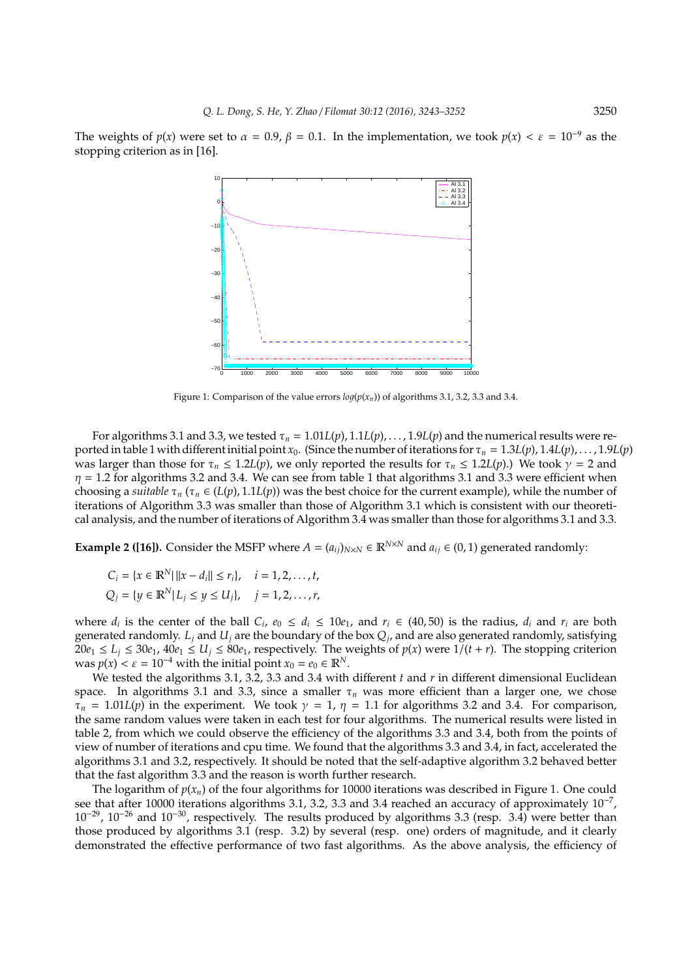The weights of  $p(x)$  were set to  $\alpha = 0.9$ ,  $\beta = 0.1$ . In the implementation, we took  $p(x) < \epsilon = 10^{-9}$  as the stopping criterion as in [16].



Figure 1: Comparison of the value errors  $log(p(x_n))$  of algorithms 3.1, 3.2, 3.3 and 3.4.

For algorithms 3.1 and 3.3, we tested  $\tau_n = 1.01L(p)$ ,  $1.1L(p)$ ,  $\dots$ ,  $1.9L(p)$  and the numerical results were reported in table 1 with different initial point  $x_0$ . (Since the number of iterations for  $\tau_n = 1.3L(p)$ ,  $1.4L(p)$ , . . . , 1.9*L*(*p*) was larger than those for  $\tau_n \leq 1.2L(p)$ , we only reported the results for  $\tau_n \leq 1.2L(p)$ .) We took  $\gamma = 2$  and  $\eta$  = 1.2 for algorithms 3.2 and 3.4. We can see from table 1 that algorithms 3.1 and 3.3 were efficient when choosing a *suitable*  $\tau_n$  ( $\tau_n \in (L(p), 1.1L(p))$  was the best choice for the current example), while the number of iterations of Algorithm 3.3 was smaller than those of Algorithm 3.1 which is consistent with our theoretical analysis, and the number of iterations of Algorithm 3.4 was smaller than those for algorithms 3.1 and 3.3.

**Example 2 ([16]).** Consider the MSFP where  $A = (a_{ij})_{N \times N} \in \mathbb{R}^{N \times N}$  and  $a_{ij} \in (0, 1)$  generated randomly:

$$
C_i = \{x \in \mathbb{R}^N | ||x - d_i|| \le r_i\}, \quad i = 1, 2, ..., t,
$$
  

$$
Q_j = \{y \in \mathbb{R}^N | L_j \le y \le U_j\}, \quad j = 1, 2, ..., r,
$$

where  $d_i$  is the center of the ball  $C_i$ ,  $e_0 \leq d_i \leq 10e_1$ , and  $r_i \in (40, 50)$  is the radius,  $d_i$  and  $r_i$  are both generated randomly. *L<sup>j</sup>* and *U<sup>j</sup>* are the boundary of the box *Q<sup>j</sup>* , and are also generated randomly, satisfying  $20e_1 \leq L_i \leq 30e_1$ ,  $40e_1 \leq U_i \leq 80e_1$ , respectively. The weights of  $p(x)$  were  $1/(t + r)$ . The stopping criterion was  $p(x) < \varepsilon = 10^{-4}$  with the initial point  $x_0 = e_0 \in \mathbb{R}^N$ .

We tested the algorithms 3.1, 3.2, 3.3 and 3.4 with different *t* and *r* in different dimensional Euclidean space. In algorithms 3.1 and 3.3, since a smaller  $\tau_n$  was more efficient than a larger one, we chose  $\tau_n = 1.01L(p)$  in the experiment. We took  $\gamma = 1$ ,  $\eta = 1.1$  for algorithms 3.2 and 3.4. For comparison, the same random values were taken in each test for four algorithms. The numerical results were listed in table 2, from which we could observe the efficiency of the algorithms 3.3 and 3.4, both from the points of view of number of iterations and cpu time. We found that the algorithms 3.3 and 3.4, in fact, accelerated the algorithms 3.1 and 3.2, respectively. It should be noted that the self-adaptive algorithm 3.2 behaved better that the fast algorithm 3.3 and the reason is worth further research.

The logarithm of  $p(x_n)$  of the four algorithms for 10000 iterations was described in Figure 1. One could see that after 10000 iterations algorithms 3.1, 3.2, 3.3 and 3.4 reached an accuracy of approximately 10<sup>-7</sup>, 10<sup>−</sup><sup>29</sup>, 10<sup>−</sup><sup>26</sup> and 10<sup>−</sup><sup>30</sup>, respectively. The results produced by algorithms 3.3 (resp. 3.4) were better than those produced by algorithms 3.1 (resp. 3.2) by several (resp. one) orders of magnitude, and it clearly demonstrated the effective performance of two fast algorithms. As the above analysis, the efficiency of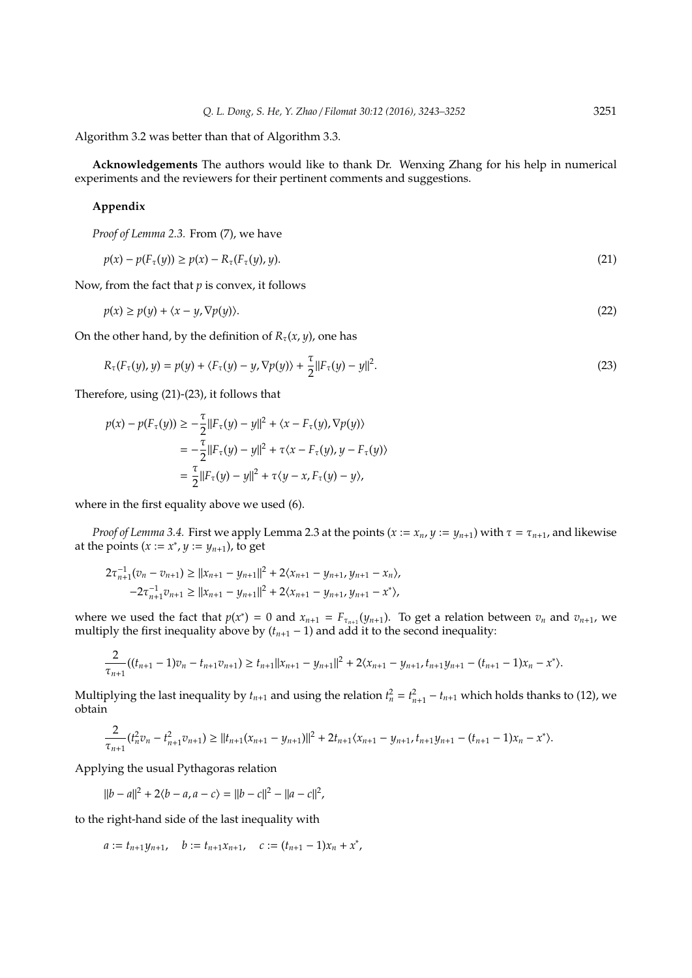Algorithm 3.2 was better than that of Algorithm 3.3.

**Acknowledgements** The authors would like to thank Dr. Wenxing Zhang for his help in numerical experiments and the reviewers for their pertinent comments and suggestions.

#### **Appendix**

*Proof of Lemma 2.3.* From (7), we have

$$
p(x) - p(F_{\tau}(y)) \ge p(x) - R_{\tau}(F_{\tau}(y), y). \tag{21}
$$

Now, from the fact that *p* is convex, it follows

$$
p(x) \ge p(y) + \langle x - y, \nabla p(y) \rangle. \tag{22}
$$

On the other hand, by the definition of  $R_{\tau}(x, y)$ , one has

$$
R_{\tau}(F_{\tau}(y), y) = p(y) + \langle F_{\tau}(y) - y, \nabla p(y) \rangle + \frac{\tau}{2} ||F_{\tau}(y) - y||^2.
$$
 (23)

Therefore, using (21)-(23), it follows that

$$
p(x) - p(F_{\tau}(y)) \ge -\frac{\tau}{2} ||F_{\tau}(y) - y||^2 + \langle x - F_{\tau}(y), \nabla p(y) \rangle
$$
  
=  $-\frac{\tau}{2} ||F_{\tau}(y) - y||^2 + \tau \langle x - F_{\tau}(y), y - F_{\tau}(y) \rangle$   
=  $\frac{\tau}{2} ||F_{\tau}(y) - y||^2 + \tau \langle y - x, F_{\tau}(y) - y \rangle,$ 

where in the first equality above we used (6).

*Proof of Lemma 3.4.* First we apply Lemma 2.3 at the points  $(x := x_n, y := y_{n+1})$  with  $\tau = \tau_{n+1}$ , and likewise at the points  $(x := x^*$ ,  $y := y_{n+1}$ ), to get

$$
\begin{aligned} 2\tau_{n+1}^{-1}(v_n-v_{n+1})&\geq \|x_{n+1}-y_{n+1}\|^2+2\langle x_{n+1}-y_{n+1},y_{n+1}-x_n\rangle,\\ -2\tau_{n+1}^{-1}v_{n+1}&\geq \|x_{n+1}-y_{n+1}\|^2+2\langle x_{n+1}-y_{n+1},y_{n+1}-x^*\rangle, \end{aligned}
$$

where we used the fact that  $p(x^*) = 0$  and  $x_{n+1} = F_{\tau_{n+1}}(y_{n+1})$ . To get a relation between  $v_n$  and  $v_{n+1}$ , we multiply the first inequality above by  $(t_{n+1} - 1)$  and add it to the second inequality:

$$
\frac{2}{\tau_{n+1}}((t_{n+1}-1)v_n-t_{n+1}v_{n+1})\geq t_{n+1}||x_{n+1}-y_{n+1}||^2+2\langle x_{n+1}-y_{n+1},t_{n+1}y_{n+1}-(t_{n+1}-1)x_n-x^*\rangle.
$$

Multiplying the last inequality by  $t_{n+1}$  and using the relation  $t_n^2 = t_{n+1}^2 - t_{n+1}$  which holds thanks to (12), we obtain

$$
\frac{2}{\tau_{n+1}}(t_n^2v_n - t_{n+1}^2v_{n+1}) \geq ||t_{n+1}(x_{n+1} - y_{n+1})||^2 + 2t_{n+1}(x_{n+1} - y_{n+1}, t_{n+1}y_{n+1} - (t_{n+1} - 1)x_n - x^*).
$$

Applying the usual Pythagoras relation

 $||b - a||^2 + 2\langle b - a, a - c \rangle = ||b - c||^2 - ||a - c||^2$ ,

to the right-hand side of the last inequality with

$$
a := t_{n+1}y_{n+1}, \quad b := t_{n+1}x_{n+1}, \quad c := (t_{n+1}-1)x_n + x^*,
$$